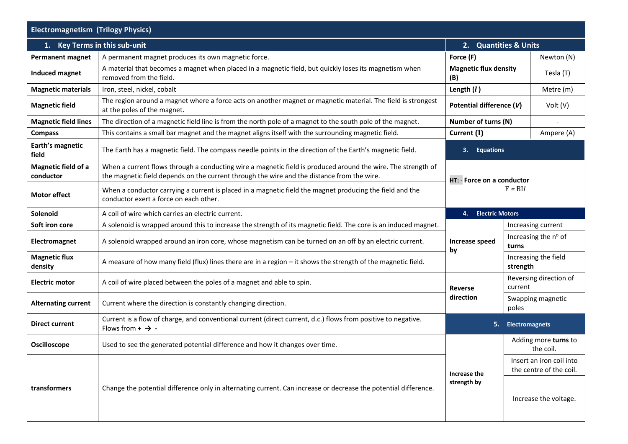| <b>Electromagnetism (Trilogy Physics)</b> |                                                                                                                                                                                                            |                                      |                                                     |                      |  |
|-------------------------------------------|------------------------------------------------------------------------------------------------------------------------------------------------------------------------------------------------------------|--------------------------------------|-----------------------------------------------------|----------------------|--|
| 1. Key Terms in this sub-unit             |                                                                                                                                                                                                            | 2. Quantities & Units                |                                                     |                      |  |
| <b>Permanent magnet</b>                   | A permanent magnet produces its own magnetic force.                                                                                                                                                        | Force (F)                            |                                                     | Newton (N)           |  |
| Induced magnet                            | A material that becomes a magnet when placed in a magnetic field, but quickly loses its magnetism when<br>removed from the field.                                                                          | <b>Magnetic flux density</b><br>(B)  |                                                     | Tesla (T)            |  |
| <b>Magnetic materials</b>                 | Iron, steel, nickel, cobalt                                                                                                                                                                                | Length $(l)$                         |                                                     | Metre (m)            |  |
| <b>Magnetic field</b>                     | The region around a magnet where a force acts on another magnet or magnetic material. The field is strongest<br>at the poles of the magnet.                                                                | Potential difference (V)<br>Volt (V) |                                                     |                      |  |
| <b>Magnetic field lines</b>               | The direction of a magnetic field line is from the north pole of a magnet to the south pole of the magnet.                                                                                                 | Number of turns (N)                  |                                                     |                      |  |
| <b>Compass</b>                            | This contains a small bar magnet and the magnet aligns itself with the surrounding magnetic field.                                                                                                         | Current (I)                          |                                                     | Ampere (A)           |  |
| Earth's magnetic<br>field                 | The Earth has a magnetic field. The compass needle points in the direction of the Earth's magnetic field.                                                                                                  | <b>Equations</b><br>3.               |                                                     |                      |  |
| Magnetic field of a<br>conductor          | When a current flows through a conducting wire a magnetic field is produced around the wire. The strength of<br>the magnetic field depends on the current through the wire and the distance from the wire. | HT: - Force on a conductor           |                                                     |                      |  |
| <b>Motor effect</b>                       | When a conductor carrying a current is placed in a magnetic field the magnet producing the field and the<br>conductor exert a force on each other.                                                         | $F = B1l$                            |                                                     |                      |  |
| Solenoid                                  | A coil of wire which carries an electric current.                                                                                                                                                          | <b>Electric Motors</b><br>4.         |                                                     |                      |  |
| Soft iron core                            | A solenoid is wrapped around this to increase the strength of its magnetic field. The core is an induced magnet.                                                                                           |                                      |                                                     | Increasing current   |  |
| Electromagnet                             | A solenoid wrapped around an iron core, whose magnetism can be turned on an off by an electric current.                                                                                                    | Increase speed<br>by                 | Increasing the nº of<br>turns                       |                      |  |
| <b>Magnetic flux</b><br>density           | A measure of how many field (flux) lines there are in a region – it shows the strength of the magnetic field.                                                                                              |                                      | strength                                            | Increasing the field |  |
| <b>Electric motor</b>                     | A coil of wire placed between the poles of a magnet and able to spin.                                                                                                                                      | <b>Reverse</b>                       | Reversing direction of<br>current                   |                      |  |
| <b>Alternating current</b>                | Current where the direction is constantly changing direction.                                                                                                                                              | direction                            | Swapping magnetic<br>poles                          |                      |  |
| <b>Direct current</b>                     | Current is a flow of charge, and conventional current (direct current, d.c.) flows from positive to negative.<br>Flows from $+$ $\rightarrow$ -                                                            | 5.<br><b>Electromagnets</b>          |                                                     |                      |  |
| Oscilloscope                              | Used to see the generated potential difference and how it changes over time.                                                                                                                               |                                      | Adding more turns to<br>the coil.                   |                      |  |
| transformers                              | Change the potential difference only in alternating current. Can increase or decrease the potential difference.                                                                                            | Increase the<br>strength by          | Insert an iron coil into<br>the centre of the coil. |                      |  |
|                                           |                                                                                                                                                                                                            |                                      | Increase the voltage.                               |                      |  |